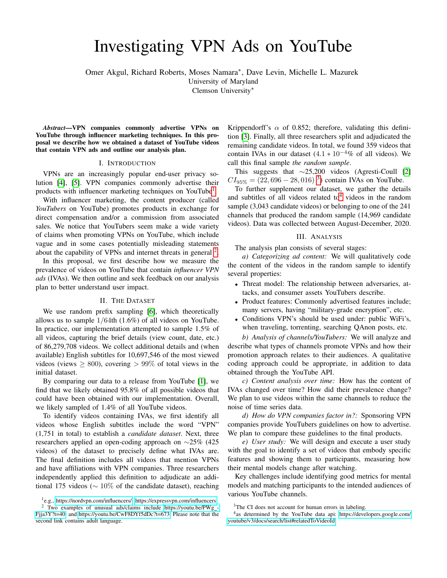# Investigating VPN Ads on YouTube

Omer Akgul, Richard Roberts, Moses Namara<sup>∗</sup> , Dave Levin, Michelle L. Mazurek

University of Maryland

Clemson University<sup>∗</sup>

*Abstract*—VPN companies commonly advertise VPNs on YouTube through influencer marketing techniques. In this proposal we describe how we obtained a dataset of YouTube videos that contain VPN ads and outline our analysis plan.

#### I. INTRODUCTION

VPNs are an increasingly popular end-user privacy solution [\[4\]](#page-1-0), [\[5\]](#page-1-1). VPN companies commonly advertise their products with influencer marketing techniques on YouTube<sup>[1](#page-0-0)</sup>.

With influencer marketing, the content producer (called *YouTubers* on YouTube) promotes products in exchange for direct compensation and/or a commission from associated sales. We notice that YouTubers seem make a wide variety of claims when promoting VPNs on YouTube, which include vague and in some cases potentially misleading statements about the capability of VPNs and internet threats in general  $2$ .

In this proposal, we first describe how we measure the prevalence of videos on YouTube that contain *influencer VPN ads* (IVAs). We then outline and seek feedback on our analysis plan to better understand user impact.

### II. THE DATASET

We use random prefix sampling [\[6\]](#page-1-2), which theoretically allows us to sample 1/64th (1.6%) of all videos on YouTube. In practice, our implementation attempted to sample 1.5% of all videos, capturing the brief details (view count, date, etc.) of 86,279,708 videos. We collect additional details and (when available) English subtitles for 10,697,546 of the most viewed videos (views  $> 800$ ), covering  $> 99\%$  of total views in the initial dataset.

By comparing our data to a release from YouTube [\[1\]](#page-1-3), we find that we likely obtained 95.8% of all possible videos that could have been obtained with our implementation. Overall, we likely sampled of 1.4% of all YouTube videos.

To identify videos containing IVAs, we first identify all videos whose English subtitles include the word "VPN" (1,751 in total) to establish a *candidate dataset*. Next, three researchers applied an open-coding approach on ∼25% (425 videos) of the dataset to precisely define what IVAs are. The final definition includes all videos that mention VPNs and have affiliations with VPN companies. Three researchers independently applied this definition to adjudicate an additional 175 videos ( $\sim 10\%$  of the candidate dataset), reaching Krippendorff's  $\alpha$  of 0.852; therefore, validating this definition [\[3\]](#page-1-4). Finally, all three researchers split and adjudicated the remaining candidate videos. In total, we found 359 videos that contain IVAs in our dataset  $(4.1 \times 10^{-4}\%$  of all videos). We call this final sample *the random sample*.

This suggests that ∼25,200 videos (Agresti-Coull [\[2\]](#page-1-5)  $CI_{95\%} = (22,696 - 28,016)^{-3}$  $CI_{95\%} = (22,696 - 28,016)^{-3}$  $CI_{95\%} = (22,696 - 28,016)^{-3}$  contain IVAs on YouTube.

To further supplement our dataset, we gather the details and subtitles of all videos related to<sup>[4](#page-0-3)</sup> videos in the random sample (3,043 candidate videos) or belonging to one of the 241 channels that produced the random sample (14,969 candidate videos). Data was collected between August-December, 2020.

## III. ANALYSIS

The analysis plan consists of several stages:

*a) Categorizing ad content:* We will qualitatively code the content of the videos in the random sample to identify several properties:

- Threat model: The relationship between adversaries, attacks, and consumer assets YouTubers describe.
- Product features: Commonly advertised features include; many servers, having "military-grade encryption", etc.
- Conditions VPN's should be used under: public WiFi's, when traveling, torrenting, searching QAnon posts, etc.

*b) Analysis of channels/YouTubers:* We will analyze and describe what types of channels promote VPNs and how their promotion approach relates to their audiences. A qualitative coding approach could be appropriate, in addition to data obtained through the YouTube API.

*c) Content analysis over time:* How has the content of IVAs changed over time? How did their prevalence change? We plan to use videos within the same channels to reduce the noise of time series data.

*d) How do VPN companies factor in?:* Sponsoring VPN companies provide YouTubers guidelines on how to advertise. We plan to compare these guidelines to the final products.

*e) User study:* We will design and execute a user study with the goal to identify a set of videos that embody specific features and showing them to participants, measuring how their mental models change after watching.

Key challenges include identifying good metrics for mental models and matching participants to the intended audiences of various YouTube channels.

<span id="page-0-1"></span><span id="page-0-0"></span><sup>1</sup> e.g., [https://nordvpn.com/influencers/,](https://nordvpn.com/influencers/)<https://expressvpn.com/influencers>

<sup>&</sup>lt;sup>2</sup> Two examples of unusual ads/claims include [https://youtu.be/PWg](https://youtu.be/PWg_-Fjja3Y?t=40)\_-[Fjja3Y?t=40,](https://youtu.be/PWg_-Fjja3Y?t=40) and [https://youtu.be/CwF8DYf5dDc?t=673.](https://youtu.be/CwF8DYf5dDc?t=673) Please note that the second link contains adult language.

<span id="page-0-3"></span><span id="page-0-2"></span><sup>&</sup>lt;sup>3</sup>The CI does not account for human errors in labeling.

<sup>&</sup>lt;sup>4</sup>as determined by the YouTube data api: [https://developers.google.com/](https://developers.google.com/youtube/v3/docs/search/list#relatedToVideoId) [youtube/v3/docs/search/list#relatedToVideoId](https://developers.google.com/youtube/v3/docs/search/list#relatedToVideoId)